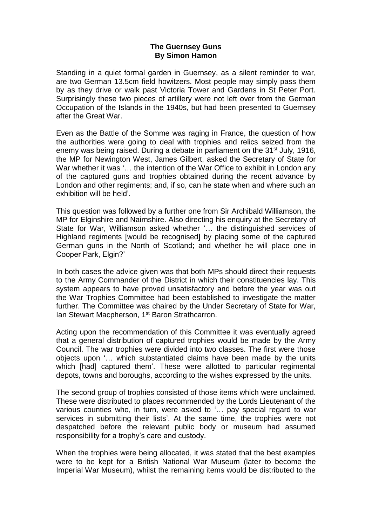## **The Guernsey Guns By Simon Hamon**

Standing in a quiet formal garden in Guernsey, as a silent reminder to war, are two German 13.5cm field howitzers. Most people may simply pass them by as they drive or walk past Victoria Tower and Gardens in St Peter Port. Surprisingly these two pieces of artillery were not left over from the German Occupation of the Islands in the 1940s, but had been presented to Guernsey after the Great War.

Even as the Battle of the Somme was raging in France, the question of how the authorities were going to deal with trophies and relics seized from the enemy was being raised. During a debate in parliament on the 31<sup>st</sup> July, 1916. the MP for Newington West, James Gilbert, asked the Secretary of State for War whether it was '... the intention of the War Office to exhibit in London any of the captured guns and trophies obtained during the recent advance by London and other regiments; and, if so, can he state when and where such an exhibition will be held'.

This question was followed by a further one from Sir Archibald Williamson, the MP for Elginshire and Nairnshire. Also directing his enquiry at the Secretary of State for War, Williamson asked whether '… the distinguished services of Highland regiments [would be recognised] by placing some of the captured German guns in the North of Scotland; and whether he will place one in Cooper Park, Elgin?'

In both cases the advice given was that both MPs should direct their requests to the Army Commander of the District in which their constituencies lay. This system appears to have proved unsatisfactory and before the year was out the War Trophies Committee had been established to investigate the matter further. The Committee was chaired by the Under Secretary of State for War, lan Stewart Macpherson, 1<sup>st</sup> Baron Strathcarron.

Acting upon the recommendation of this Committee it was eventually agreed that a general distribution of captured trophies would be made by the Army Council. The war trophies were divided into two classes. The first were those objects upon '… which substantiated claims have been made by the units which [had] captured them'. These were allotted to particular regimental depots, towns and boroughs, according to the wishes expressed by the units.

The second group of trophies consisted of those items which were unclaimed. These were distributed to places recommended by the Lords Lieutenant of the various counties who, in turn, were asked to '… pay special regard to war services in submitting their lists'. At the same time, the trophies were not despatched before the relevant public body or museum had assumed responsibility for a trophy's care and custody.

When the trophies were being allocated, it was stated that the best examples were to be kept for a British National War Museum (later to become the Imperial War Museum), whilst the remaining items would be distributed to the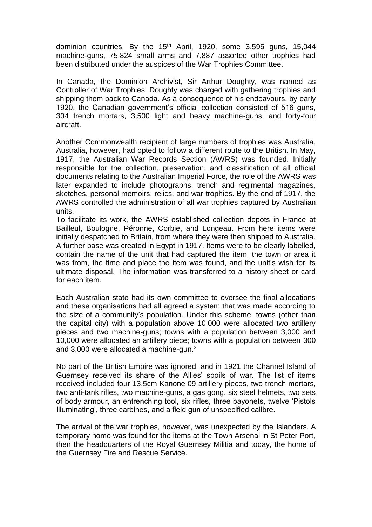dominion countries. By the  $15<sup>th</sup>$  April, 1920, some 3,595 guns, 15,044 machine-guns, 75,824 small arms and 7,887 assorted other trophies had been distributed under the auspices of the War Trophies Committee.

In Canada, the Dominion Archivist, Sir Arthur Doughty, was named as Controller of War Trophies. Doughty was charged with gathering trophies and shipping them back to Canada. As a consequence of his endeavours, by early 1920, the Canadian government's official collection consisted of 516 guns, 304 trench mortars, 3,500 light and heavy machine-guns, and forty-four aircraft.

Another Commonwealth recipient of large numbers of trophies was Australia. Australia, however, had opted to follow a different route to the British. In May, 1917, the Australian War Records Section (AWRS) was founded. Initially responsible for the collection, preservation, and classification of all official documents relating to the Australian Imperial Force, the role of the AWRS was later expanded to include photographs, trench and regimental magazines, sketches, personal memoirs, relics, and war trophies. By the end of 1917, the AWRS controlled the administration of all war trophies captured by Australian units.

To facilitate its work, the AWRS established collection depots in France at Bailleul, Boulogne, Péronne, Corbie, and Longeau. From here items were initially despatched to Britain, from where they were then shipped to Australia. A further base was created in Egypt in 1917. Items were to be clearly labelled, contain the name of the unit that had captured the item, the town or area it was from, the time and place the item was found, and the unit's wish for its ultimate disposal. The information was transferred to a history sheet or card for each item.

Each Australian state had its own committee to oversee the final allocations and these organisations had all agreed a system that was made according to the size of a community's population. Under this scheme, towns (other than the capital city) with a population above 10,000 were allocated two artillery pieces and two machine-guns; towns with a population between 3,000 and 10,000 were allocated an artillery piece; towns with a population between 300 and 3,000 were allocated a machine-gun.<sup>2</sup>

No part of the British Empire was ignored, and in 1921 the Channel Island of Guernsey received its share of the Allies' spoils of war. The list of items received included four 13.5cm Kanone 09 artillery pieces, two trench mortars, two anti-tank rifles, two machine-guns, a gas gong, six steel helmets, two sets of body armour, an entrenching tool, six rifles, three bayonets, twelve 'Pistols Illuminating', three carbines, and a field gun of unspecified calibre.

The arrival of the war trophies, however, was unexpected by the Islanders. A temporary home was found for the items at the Town Arsenal in St Peter Port, then the headquarters of the Royal Guernsey Militia and today, the home of the Guernsey Fire and Rescue Service.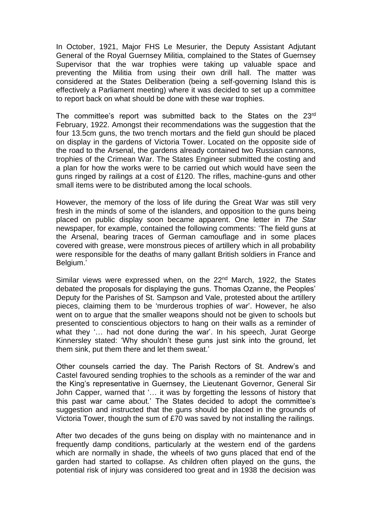In October, 1921, Major FHS Le Mesurier, the Deputy Assistant Adjutant General of the Royal Guernsey Militia, complained to the States of Guernsey Supervisor that the war trophies were taking up valuable space and preventing the Militia from using their own drill hall. The matter was considered at the States Deliberation (being a self-governing Island this is effectively a Parliament meeting) where it was decided to set up a committee to report back on what should be done with these war trophies.

The committee's report was submitted back to the States on the 23rd February, 1922. Amongst their recommendations was the suggestion that the four 13.5cm guns, the two trench mortars and the field gun should be placed on display in the gardens of Victoria Tower. Located on the opposite side of the road to the Arsenal, the gardens already contained two Russian cannons, trophies of the Crimean War. The States Engineer submitted the costing and a plan for how the works were to be carried out which would have seen the guns ringed by railings at a cost of £120. The rifles, machine-guns and other small items were to be distributed among the local schools.

However, the memory of the loss of life during the Great War was still very fresh in the minds of some of the islanders, and opposition to the guns being placed on public display soon became apparent. One letter in *The Star* newspaper, for example, contained the following comments: 'The field guns at the Arsenal, bearing traces of German camouflage and in some places covered with grease, were monstrous pieces of artillery which in all probability were responsible for the deaths of many gallant British soldiers in France and Belgium.'

Similar views were expressed when, on the 22<sup>nd</sup> March, 1922, the States debated the proposals for displaying the guns. Thomas Ozanne, the Peoples' Deputy for the Parishes of St. Sampson and Vale, protested about the artillery pieces, claiming them to be 'murderous trophies of war'. However, he also went on to argue that the smaller weapons should not be given to schools but presented to conscientious objectors to hang on their walls as a reminder of what they '… had not done during the war'. In his speech, Jurat George Kinnersley stated: 'Why shouldn't these guns just sink into the ground, let them sink, put them there and let them sweat.'

Other counsels carried the day. The Parish Rectors of St. Andrew's and Castel favoured sending trophies to the schools as a reminder of the war and the King's representative in Guernsey, the Lieutenant Governor, General Sir John Capper, warned that '… it was by forgetting the lessons of history that this past war came about.' The States decided to adopt the committee's suggestion and instructed that the guns should be placed in the grounds of Victoria Tower, though the sum of £70 was saved by not installing the railings.

After two decades of the guns being on display with no maintenance and in frequently damp conditions, particularly at the western end of the gardens which are normally in shade, the wheels of two guns placed that end of the garden had started to collapse. As children often played on the guns, the potential risk of injury was considered too great and in 1938 the decision was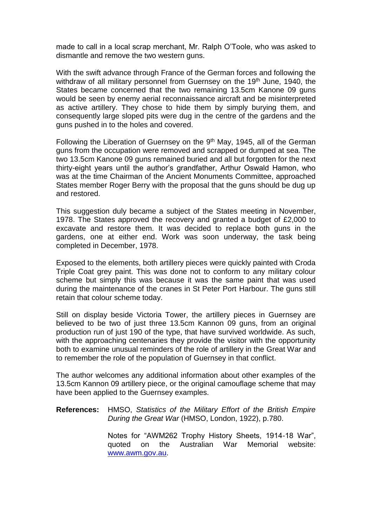made to call in a local scrap merchant, Mr. Ralph O'Toole, who was asked to dismantle and remove the two western guns.

With the swift advance through France of the German forces and following the withdraw of all military personnel from Guernsey on the 19<sup>th</sup> June, 1940, the States became concerned that the two remaining 13.5cm Kanone 09 guns would be seen by enemy aerial reconnaissance aircraft and be misinterpreted as active artillery. They chose to hide them by simply burying them, and consequently large sloped pits were dug in the centre of the gardens and the guns pushed in to the holes and covered.

Following the Liberation of Guernsey on the  $9<sup>th</sup>$  May, 1945, all of the German guns from the occupation were removed and scrapped or dumped at sea. The two 13.5cm Kanone 09 guns remained buried and all but forgotten for the next thirty-eight years until the author's grandfather, Arthur Oswald Hamon, who was at the time Chairman of the Ancient Monuments Committee, approached States member Roger Berry with the proposal that the guns should be dug up and restored.

This suggestion duly became a subject of the States meeting in November, 1978. The States approved the recovery and granted a budget of £2,000 to excavate and restore them. It was decided to replace both guns in the gardens, one at either end. Work was soon underway, the task being completed in December, 1978.

Exposed to the elements, both artillery pieces were quickly painted with Croda Triple Coat grey paint. This was done not to conform to any military colour scheme but simply this was because it was the same paint that was used during the maintenance of the cranes in St Peter Port Harbour. The guns still retain that colour scheme today.

Still on display beside Victoria Tower, the artillery pieces in Guernsey are believed to be two of just three 13.5cm Kannon 09 guns, from an original production run of just 190 of the type, that have survived worldwide. As such, with the approaching centenaries they provide the visitor with the opportunity both to examine unusual reminders of the role of artillery in the Great War and to remember the role of the population of Guernsey in that conflict.

The author welcomes any additional information about other examples of the 13.5cm Kannon 09 artillery piece, or the original camouflage scheme that may have been applied to the Guernsey examples.

**References:** HMSO, *Statistics of the Military Effort of the British Empire During the Great War* (HMSO, London, 1922), p.780.

> Notes for "AWM262 Trophy History Sheets, 1914-18 War", quoted on the Australian War Memorial website: [www.awm.gov.au.](http://www.awm.gov.au/)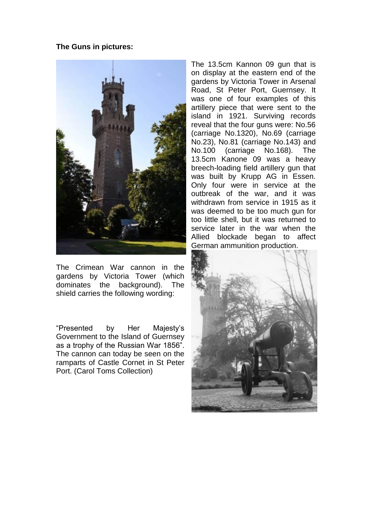## **The Guns in pictures:**



The Crimean War cannon in the gardens by Victoria Tower (which dominates the background). The shield carries the following wording:

"Presented by Her Majesty's Government to the Island of Guernsey as a trophy of the Russian War 1856". The cannon can today be seen on the ramparts of Castle Cornet in St Peter Port. (Carol Toms Collection)

The 13.5cm Kannon 09 gun that is on display at the eastern end of the gardens by Victoria Tower in Arsenal Road, St Peter Port, Guernsey. It was one of four examples of this artillery piece that were sent to the island in 1921. Surviving records reveal that the four guns were: No.56 (carriage No.1320), No.69 (carriage No.23), No.81 (carriage No.143) and No.100 (carriage No.168). The 13.5cm Kanone 09 was a heavy breech-loading field artillery gun that was built by Krupp AG in Essen. Only four were in service at the outbreak of the war, and it was withdrawn from service in 1915 as it was deemed to be too much gun for too little shell, but it was returned to service later in the war when the Allied blockade began to affect German ammunition production.

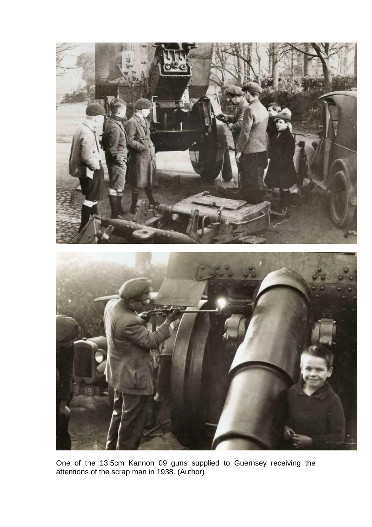

One of the 13.5cm Kannon 09 guns supplied to Guernsey receiving the attentions of the scrap man in 1938. (Author)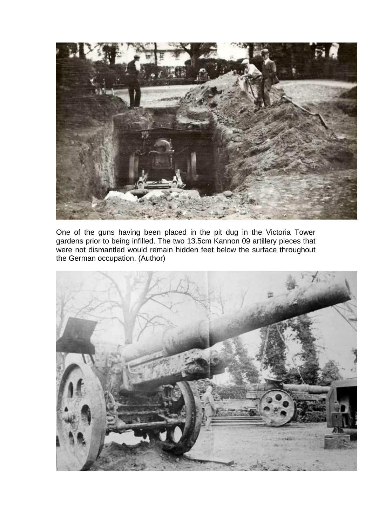

One of the guns having been placed in the pit dug in the Victoria Tower gardens prior to being infilled. The two 13.5cm Kannon 09 artillery pieces that were not dismantled would remain hidden feet below the surface throughout the German occupation. (Author)

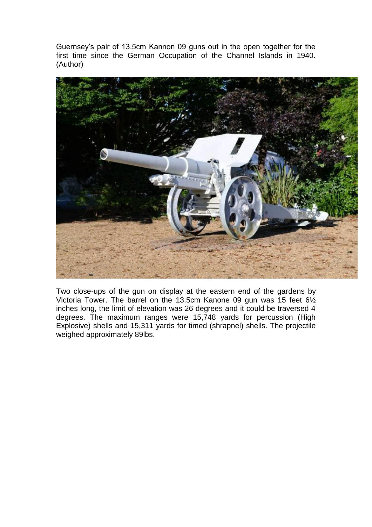Guernsey's pair of 13.5cm Kannon 09 guns out in the open together for the first time since the German Occupation of the Channel Islands in 1940. (Author)



Two close-ups of the gun on display at the eastern end of the gardens by Victoria Tower. The barrel on the 13.5cm Kanone 09 gun was 15 feet 6½ inches long, the limit of elevation was 26 degrees and it could be traversed 4 degrees. The maximum ranges were 15,748 yards for percussion (High Explosive) shells and 15,311 yards for timed (shrapnel) shells. The projectile weighed approximately 89lbs.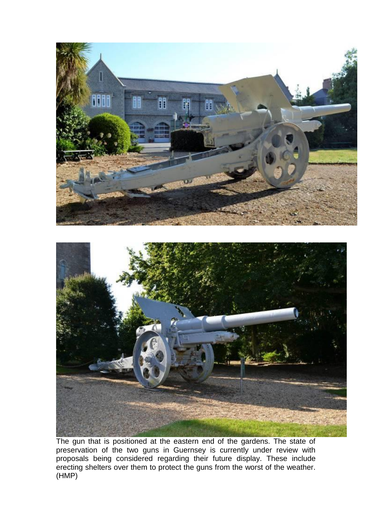

The gun that is positioned at the eastern end of the gardens. The state of preservation of the two guns in Guernsey is currently under review with proposals being considered regarding their future display. These include erecting shelters over them to protect the guns from the worst of the weather. (HMP)